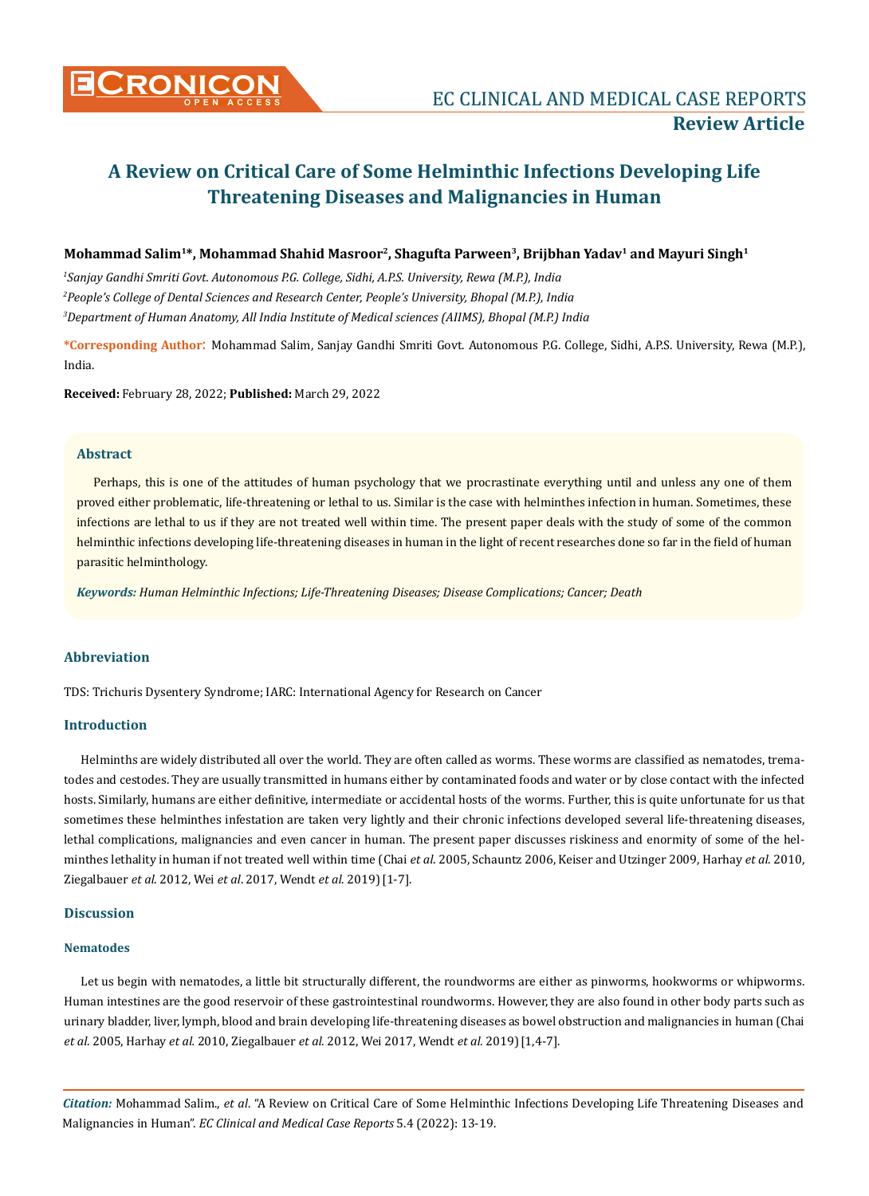

# **Mohammad Salim1\*, Mohammad Shahid Masroor2, Shagufta Parween3, Brijbhan Yadav1 and Mayuri Singh1**

*1 Sanjay Gandhi Smriti Govt. Autonomous P.G. College, Sidhi, A.P.S. University, Rewa (M.P.), India 2 People's College of Dental Sciences and Research Center, People's University, Bhopal (M.P.), India 3 Department of Human Anatomy, All India Institute of Medical sciences (AIIMS), Bhopal (M.P.) India*

**\*Corresponding Author**: Mohammad Salim, Sanjay Gandhi Smriti Govt. Autonomous P.G. College, Sidhi, A.P.S. University, Rewa (M.P.), India.

**Received:** February 28, 2022; **Published:** March 29, 2022

## **Abstract**

Perhaps, this is one of the attitudes of human psychology that we procrastinate everything until and unless any one of them proved either problematic, life-threatening or lethal to us. Similar is the case with helminthes infection in human. Sometimes, these infections are lethal to us if they are not treated well within time. The present paper deals with the study of some of the common helminthic infections developing life-threatening diseases in human in the light of recent researches done so far in the field of human parasitic helminthology.

*Keywords: Human Helminthic Infections; Life-Threatening Diseases; Disease Complications; Cancer; Death* 

# **Abbreviation**

TDS: Trichuris Dysentery Syndrome; IARC: International Agency for Research on Cancer

## **Introduction**

Helminths are widely distributed all over the world. They are often called as worms. These worms are classified as nematodes, trematodes and cestodes. They are usually transmitted in humans either by contaminated foods and water or by close contact with the infected hosts. Similarly, humans are either definitive, intermediate or accidental hosts of the worms. Further, this is quite unfortunate for us that sometimes these helminthes infestation are taken very lightly and their chronic infections developed several life-threatening diseases, lethal complications, malignancies and even cancer in human. The present paper discusses riskiness and enormity of some of the helminthes lethality in human if not treated well within time (Chai *et al*. 2005, Schauntz 2006, Keiser and Utzinger 2009, Harhay *et al*. 2010, Ziegalbauer *et al*. 2012, Wei *et al*. 2017, Wendt *et al*. 2019)[1-7].

# **Discussion**

#### **Nematodes**

Let us begin with nematodes, a little bit structurally different, the roundworms are either as pinworms, hookworms or whipworms. Human intestines are the good reservoir of these gastrointestinal roundworms. However, they are also found in other body parts such as urinary bladder, liver, lymph, blood and brain developing life-threatening diseases as bowel obstruction and malignancies in human (Chai *et al*. 2005, Harhay *et al.* 2010, Ziegalbauer *et al*. 2012, Wei 2017, Wendt *et al.* 2019)[1,4-7].

*Citation:* Mohammad Salim., *et al*. "A Review on Critical Care of Some Helminthic Infections Developing Life Threatening Diseases and Malignancies in Human". *EC Clinical and Medical Case Reports* 5.4 (2022): 13-19.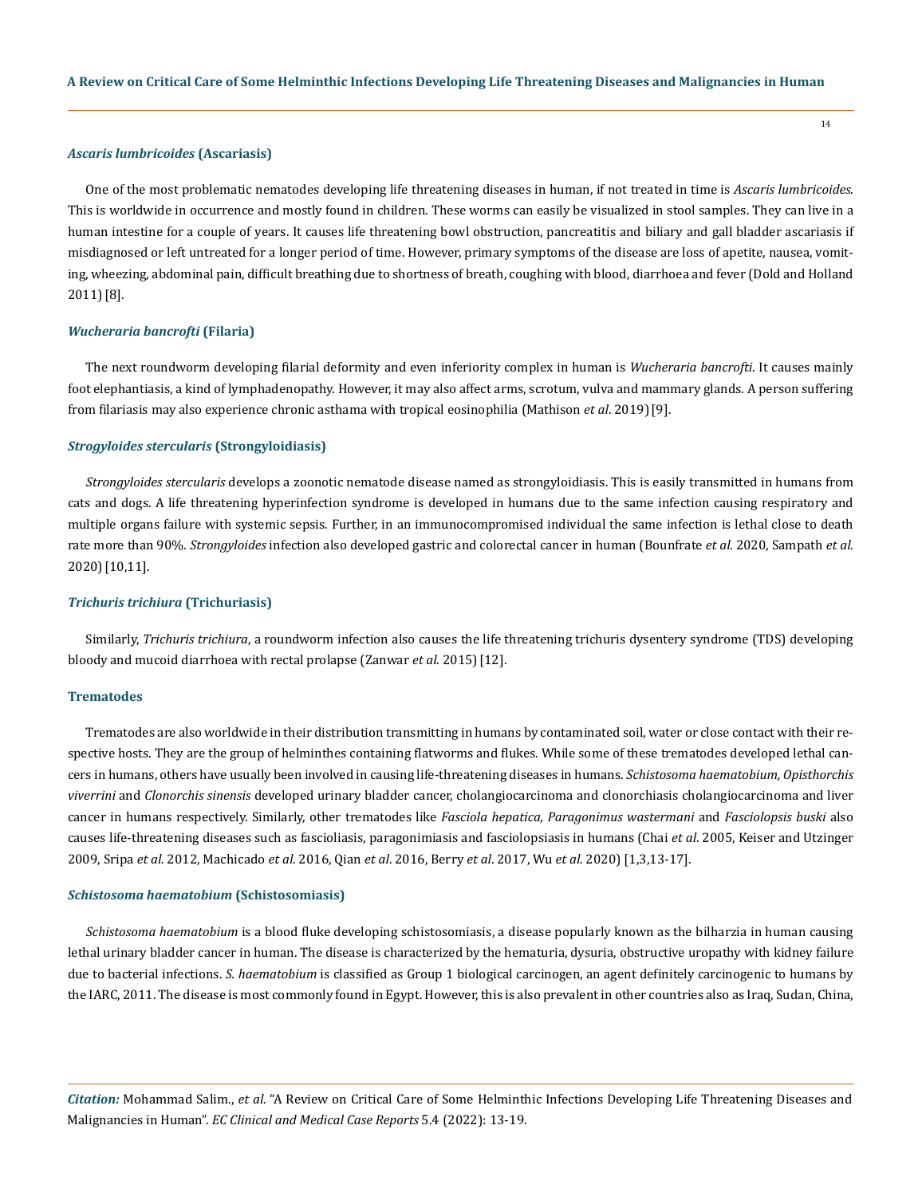#### *Ascaris lumbricoides* **(Ascariasis)**

One of the most problematic nematodes developing life threatening diseases in human, if not treated in time is *Ascaris lumbricoides*. This is worldwide in occurrence and mostly found in children. These worms can easily be visualized in stool samples. They can live in a human intestine for a couple of years. It causes life threatening bowl obstruction, pancreatitis and biliary and gall bladder ascariasis if misdiagnosed or left untreated for a longer period of time. However, primary symptoms of the disease are loss of apetite, nausea, vomiting, wheezing, abdominal pain, difficult breathing due to shortness of breath, coughing with blood, diarrhoea and fever (Dold and Holland 2011)[8].

#### *Wucheraria bancrofti* **(Filaria)**

The next roundworm developing filarial deformity and even inferiority complex in human is *Wucheraria bancrofti*. It causes mainly foot elephantiasis, a kind of lymphadenopathy. However, it may also affect arms, scrotum, vulva and mammary glands. A person suffering from filariasis may also experience chronic asthama with tropical eosinophilia (Mathison *et al*. 2019)[9].

## *Strogyloides stercularis* **(Strongyloidiasis)**

*Strongyloides stercularis* develops a zoonotic nematode disease named as strongyloidiasis. This is easily transmitted in humans from cats and dogs. A life threatening hyperinfection syndrome is developed in humans due to the same infection causing respiratory and multiple organs failure with systemic sepsis. Further, in an immunocompromised individual the same infection is lethal close to death rate more than 90%. *Strongyloides* infection also developed gastric and colorectal cancer in human (Bounfrate *et al.* 2020, Sampath *et al*. 2020)[10,11].

#### *Trichuris trichiura* **(Trichuriasis)**

Similarly, *Trichuris trichiura*, a roundworm infection also causes the life threatening trichuris dysentery syndrome (TDS) developing bloody and mucoid diarrhoea with rectal prolapse (Zanwar *et al*. 2015)[12].

## **Trematodes**

Trematodes are also worldwide in their distribution transmitting in humans by contaminated soil, water or close contact with their respective hosts. They are the group of helminthes containing flatworms and flukes. While some of these trematodes developed lethal cancers in humans, others have usually been involved in causing life-threatening diseases in humans. *Schistosoma haematobium, Opisthorchis viverrini* and *Clonorchis sinensis* developed urinary bladder cancer, cholangiocarcinoma and clonorchiasis cholangiocarcinoma and liver cancer in humans respectively. Similarly, other trematodes like *Fasciola hepatica, Paragonimus wastermani* and *Fasciolopsis buski* also causes life-threatening diseases such as fascioliasis, paragonimiasis and fasciolopsiasis in humans (Chai *et al*. 2005, Keiser and Utzinger 2009, Sripa *et al.* 2012, Machicado *et al*. 2016, Qian *et al*. 2016, Berry *et al*. 2017, Wu *et al*. 2020) [1,3,13-17].

#### *Schistosoma haematobium* **(Schistosomiasis)**

*Schistosoma haematobium* is a blood fluke developing schistosomiasis, a disease popularly known as the bilharzia in human causing lethal urinary bladder cancer in human. The disease is characterized by the hematuria, dysuria, obstructive uropathy with kidney failure due to bacterial infections. *S. haematobium* is classified as Group 1 biological carcinogen, an agent definitely carcinogenic to humans by the IARC, 2011. The disease is most commonly found in Egypt. However, this is also prevalent in other countries also as Iraq, Sudan, China,

*Citation:* Mohammad Salim., *et al*. "A Review on Critical Care of Some Helminthic Infections Developing Life Threatening Diseases and Malignancies in Human". *EC Clinical and Medical Case Reports* 5.4 (2022): 13-19.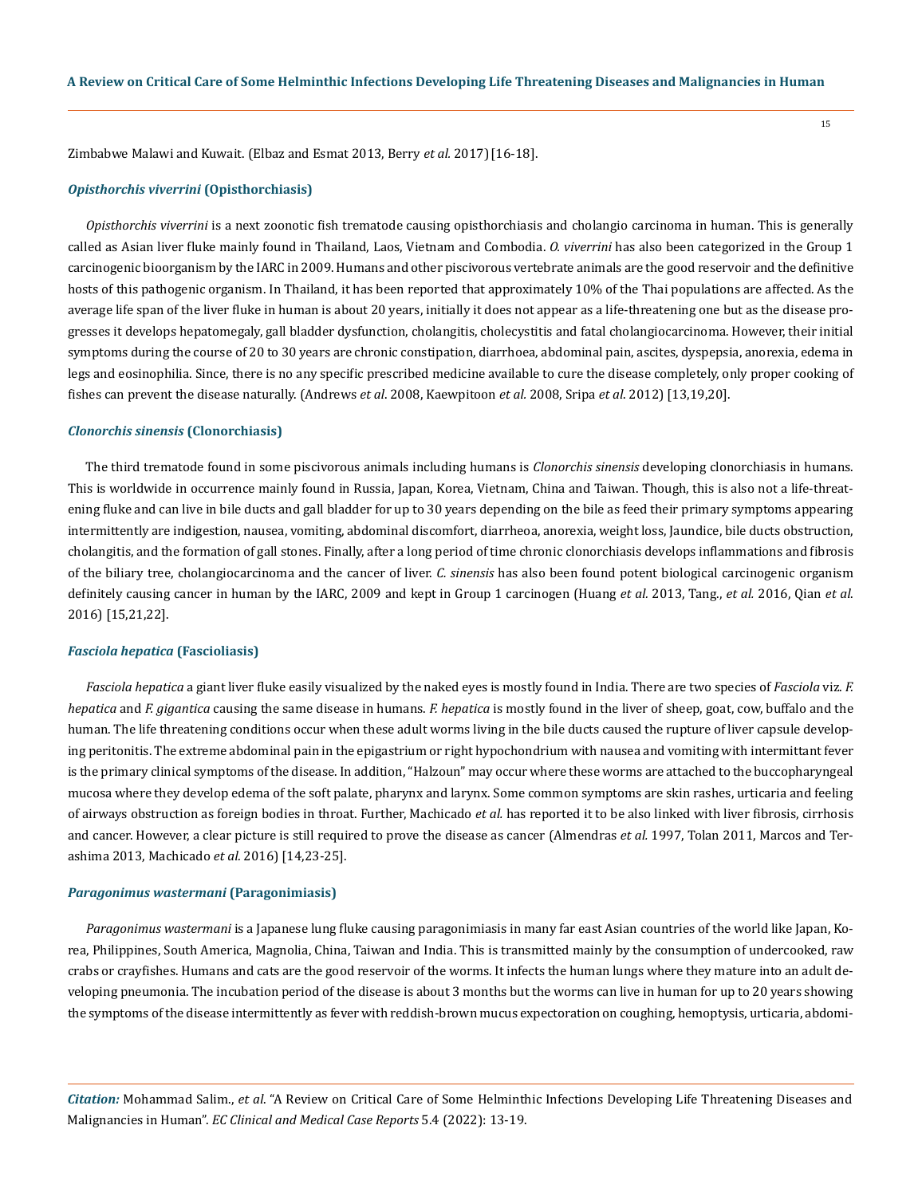Zimbabwe Malawi and Kuwait. (Elbaz and Esmat 2013, Berry *et al.* 2017)[16-18].

#### *Opisthorchis viverrini* **(Opisthorchiasis)**

*Opisthorchis viverrini* is a next zoonotic fish trematode causing opisthorchiasis and cholangio carcinoma in human. This is generally called as Asian liver fluke mainly found in Thailand, Laos, Vietnam and Combodia. *O. viverrini* has also been categorized in the Group 1 carcinogenic bioorganism by the IARC in 2009. Humans and other piscivorous vertebrate animals are the good reservoir and the definitive hosts of this pathogenic organism. In Thailand, it has been reported that approximately 10% of the Thai populations are affected. As the average life span of the liver fluke in human is about 20 years, initially it does not appear as a life-threatening one but as the disease progresses it develops hepatomegaly, gall bladder dysfunction, cholangitis, cholecystitis and fatal cholangiocarcinoma. However, their initial symptoms during the course of 20 to 30 years are chronic constipation, diarrhoea, abdominal pain, ascites, dyspepsia, anorexia, edema in legs and eosinophilia. Since, there is no any specific prescribed medicine available to cure the disease completely, only proper cooking of fishes can prevent the disease naturally. (Andrews *et al*. 2008, Kaewpitoon *et al.* 2008, Sripa *et al*. 2012) [13,19,20].

#### *Clonorchis sinensis* **(Clonorchiasis)**

The third trematode found in some piscivorous animals including humans is *Clonorchis sinensis* developing clonorchiasis in humans. This is worldwide in occurrence mainly found in Russia, Japan, Korea, Vietnam, China and Taiwan. Though, this is also not a life-threatening fluke and can live in bile ducts and gall bladder for up to 30 years depending on the bile as feed their primary symptoms appearing intermittently are indigestion, nausea, vomiting, abdominal discomfort, diarrheoa, anorexia, weight loss, Jaundice, bile ducts obstruction, cholangitis, and the formation of gall stones. Finally, after a long period of time chronic clonorchiasis develops inflammations and fibrosis of the biliary tree, cholangiocarcinoma and the cancer of liver. *C. sinensis* has also been found potent biological carcinogenic organism definitely causing cancer in human by the IARC, 2009 and kept in Group 1 carcinogen (Huang *et al.* 2013, Tang., *et al.* 2016, Qian *et al*. 2016) [15,21,22].

#### *Fasciola hepatica* **(Fascioliasis)**

*Fasciola hepatica* a giant liver fluke easily visualized by the naked eyes is mostly found in India. There are two species of *Fasciola* viz. *F. hepatica* and *F. gigantica* causing the same disease in humans. *F. hepatica* is mostly found in the liver of sheep, goat, cow, buffalo and the human. The life threatening conditions occur when these adult worms living in the bile ducts caused the rupture of liver capsule developing peritonitis. The extreme abdominal pain in the epigastrium or right hypochondrium with nausea and vomiting with intermittant fever is the primary clinical symptoms of the disease. In addition, "Halzoun" may occur where these worms are attached to the buccopharyngeal mucosa where they develop edema of the soft palate, pharynx and larynx. Some common symptoms are skin rashes, urticaria and feeling of airways obstruction as foreign bodies in throat. Further, Machicado *et al.* has reported it to be also linked with liver fibrosis, cirrhosis and cancer. However, a clear picture is still required to prove the disease as cancer (Almendras *et al.* 1997, Tolan 2011, Marcos and Terashima 2013, Machicado *et al.* 2016) [14,23-25].

## *Paragonimus wastermani* **(Paragonimiasis)**

*Paragonimus wastermani* is a Japanese lung fluke causing paragonimiasis in many far east Asian countries of the world like Japan, Korea, Philippines, South America, Magnolia, China, Taiwan and India. This is transmitted mainly by the consumption of undercooked, raw crabs or crayfishes. Humans and cats are the good reservoir of the worms. It infects the human lungs where they mature into an adult developing pneumonia. The incubation period of the disease is about 3 months but the worms can live in human for up to 20 years showing the symptoms of the disease intermittently as fever with reddish-brown mucus expectoration on coughing, hemoptysis, urticaria, abdomi-

*Citation:* Mohammad Salim., *et al*. "A Review on Critical Care of Some Helminthic Infections Developing Life Threatening Diseases and Malignancies in Human". *EC Clinical and Medical Case Reports* 5.4 (2022): 13-19.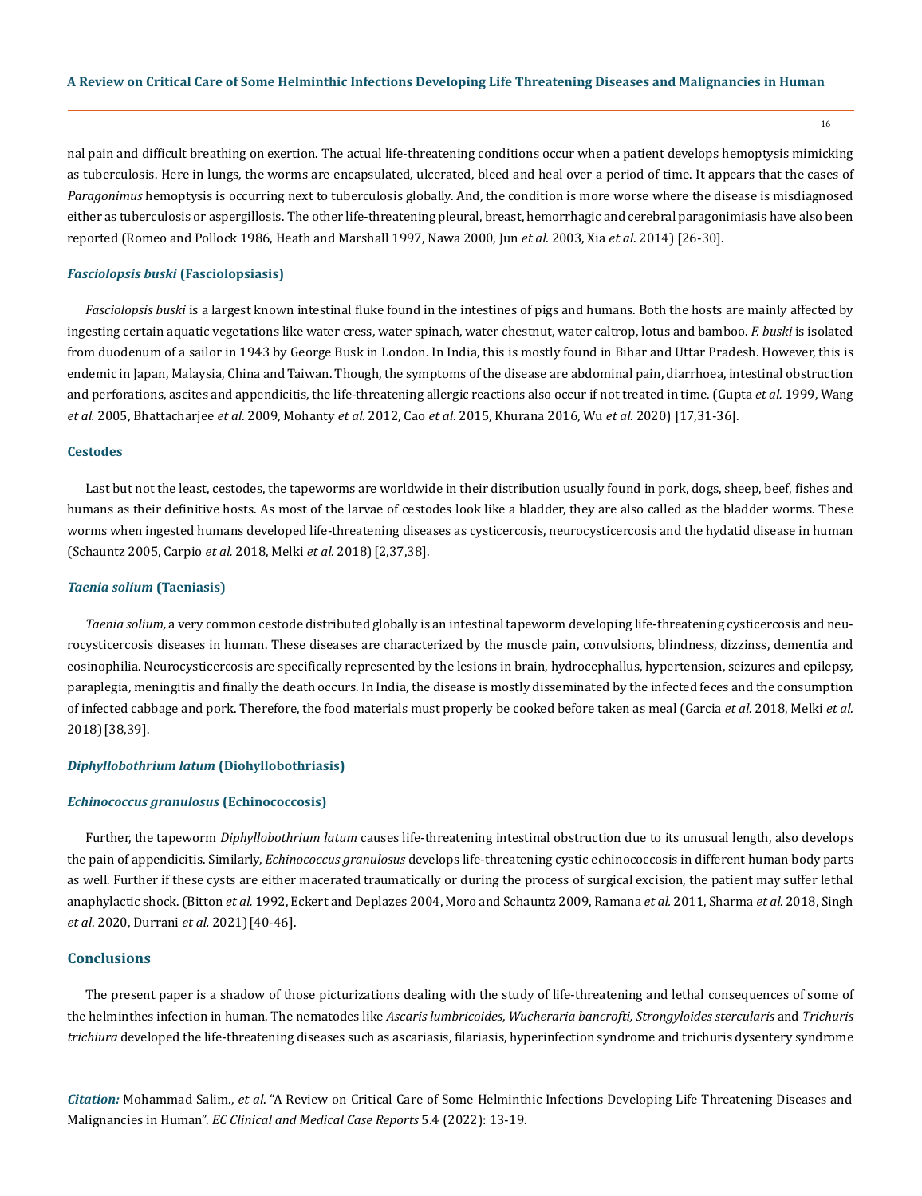nal pain and difficult breathing on exertion. The actual life-threatening conditions occur when a patient develops hemoptysis mimicking as tuberculosis. Here in lungs, the worms are encapsulated, ulcerated, bleed and heal over a period of time. It appears that the cases of *Paragonimus* hemoptysis is occurring next to tuberculosis globally. And, the condition is more worse where the disease is misdiagnosed either as tuberculosis or aspergillosis. The other life-threatening pleural, breast, hemorrhagic and cerebral paragonimiasis have also been reported (Romeo and Pollock 1986, Heath and Marshall 1997, Nawa 2000, Jun *et al.* 2003, Xia *et al*. 2014) [26-30].

#### *Fasciolopsis buski* **(Fasciolopsiasis)**

*Fasciolopsis buski* is a largest known intestinal fluke found in the intestines of pigs and humans. Both the hosts are mainly affected by ingesting certain aquatic vegetations like water cress, water spinach, water chestnut, water caltrop, lotus and bamboo. *F. buski* is isolated from duodenum of a sailor in 1943 by George Busk in London. In India, this is mostly found in Bihar and Uttar Pradesh. However, this is endemic in Japan, Malaysia, China and Taiwan. Though, the symptoms of the disease are abdominal pain, diarrhoea, intestinal obstruction and perforations, ascites and appendicitis, the life-threatening allergic reactions also occur if not treated in time. (Gupta *et al.* 1999, Wang *et al.* 2005, Bhattacharjee *et al*. 2009, Mohanty *et al.* 2012, Cao *et al*. 2015, Khurana 2016, Wu *et al*. 2020) [17,31-36].

## **Cestodes**

Last but not the least, cestodes, the tapeworms are worldwide in their distribution usually found in pork, dogs, sheep, beef, fishes and humans as their definitive hosts. As most of the larvae of cestodes look like a bladder, they are also called as the bladder worms. These worms when ingested humans developed life-threatening diseases as cysticercosis, neurocysticercosis and the hydatid disease in human (Schauntz 2005, Carpio *et al.* 2018, Melki *et al.* 2018)[2,37,38].

#### *Taenia solium* **(Taeniasis)**

*Taenia solium,* a very common cestode distributed globally is an intestinal tapeworm developing life-threatening cysticercosis and neurocysticercosis diseases in human. These diseases are characterized by the muscle pain, convulsions, blindness, dizzinss, dementia and eosinophilia. Neurocysticercosis are specifically represented by the lesions in brain, hydrocephallus, hypertension, seizures and epilepsy, paraplegia, meningitis and finally the death occurs. In India, the disease is mostly disseminated by the infected feces and the consumption of infected cabbage and pork. Therefore, the food materials must properly be cooked before taken as meal (Garcia *et al*. 2018, Melki *et al.*  2018)[38,39].

## *Diphyllobothrium latum* **(Diohyllobothriasis)**

## *Echinococcus granulosus* **(Echinococcosis)**

Further, the tapeworm *Diphyllobothrium latum* causes life-threatening intestinal obstruction due to its unusual length, also develops the pain of appendicitis. Similarly, *Echinococcus granulosus* develops life-threatening cystic echinococcosis in different human body parts as well. Further if these cysts are either macerated traumatically or during the process of surgical excision, the patient may suffer lethal anaphylactic shock. (Bitton *et al.* 1992, Eckert and Deplazes 2004, Moro and Schauntz 2009, Ramana *et al.* 2011, Sharma *et al.* 2018, Singh *et al*. 2020, Durrani *et al.* 2021)[40-46].

# **Conclusions**

The present paper is a shadow of those picturizations dealing with the study of life-threatening and lethal consequences of some of the helminthes infection in human. The nematodes like *Ascaris lumbricoides*, *Wucheraria bancrofti, Strongyloides stercularis* and *Trichuris trichiura* developed the life-threatening diseases such as ascariasis, filariasis, hyperinfection syndrome and trichuris dysentery syndrome

*Citation:* Mohammad Salim., *et al*. "A Review on Critical Care of Some Helminthic Infections Developing Life Threatening Diseases and Malignancies in Human". *EC Clinical and Medical Case Reports* 5.4 (2022): 13-19.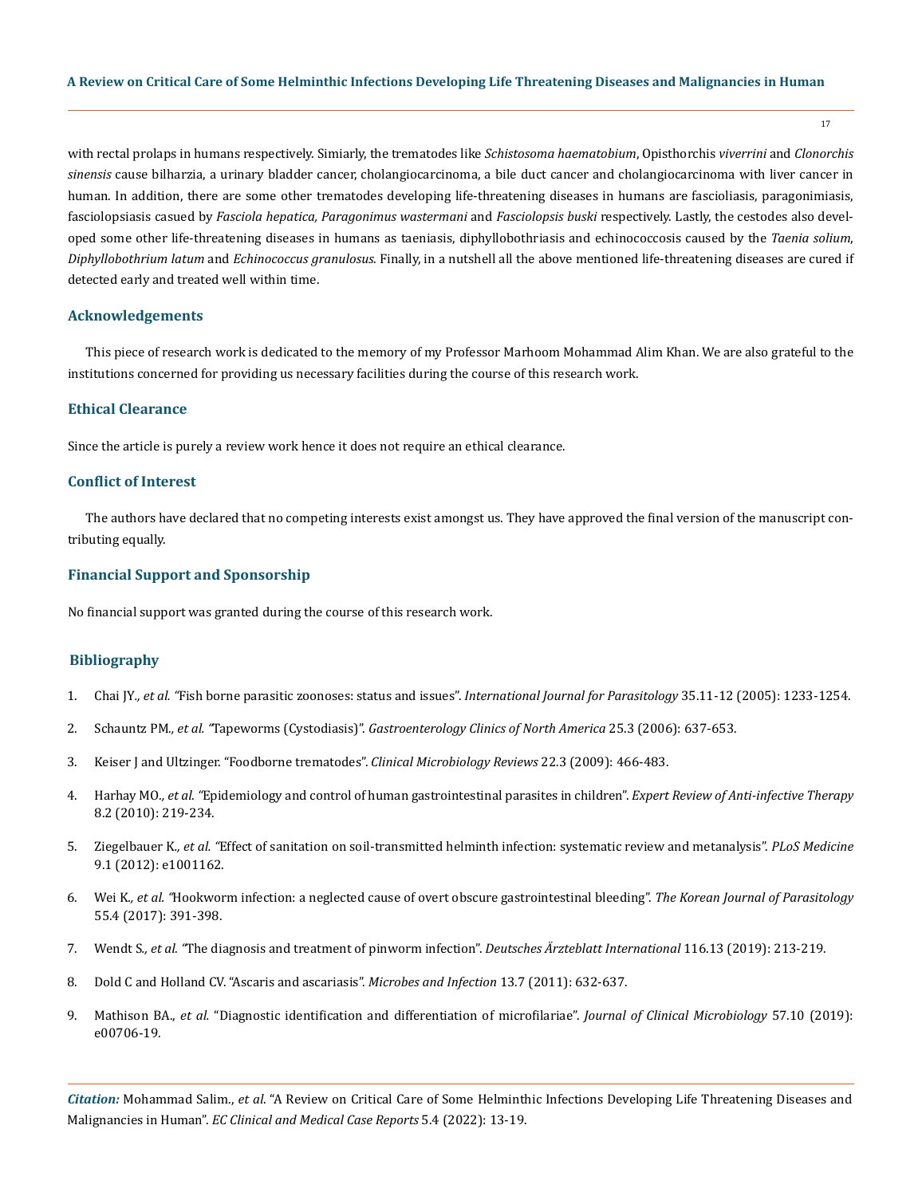with rectal prolaps in humans respectively. Simiarly, the trematodes like *Schistosoma haematobium*, Opisthorchis *viverrini* and *Clonorchis sinensis* cause bilharzia, a urinary bladder cancer, cholangiocarcinoma, a bile duct cancer and cholangiocarcinoma with liver cancer in human. In addition, there are some other trematodes developing life-threatening diseases in humans are fascioliasis, paragonimiasis, fasciolopsiasis casued by *Fasciola hepatica, Paragonimus wastermani* and *Fasciolopsis buski* respectively. Lastly, the cestodes also developed some other life-threatening diseases in humans as taeniasis, diphyllobothriasis and echinococcosis caused by the *Taenia solium*, *Diphyllobothrium latum* and *Echinococcus granulosus*. Finally, in a nutshell all the above mentioned life-threatening diseases are cured if detected early and treated well within time.

17

### **Acknowledgements**

This piece of research work is dedicated to the memory of my Professor Marhoom Mohammad Alim Khan. We are also grateful to the institutions concerned for providing us necessary facilities during the course of this research work.

#### **Ethical Clearance**

Since the article is purely a review work hence it does not require an ethical clearance.

#### **Conflict of Interest**

The authors have declared that no competing interests exist amongst us. They have approved the final version of the manuscript contributing equally.

# **Financial Support and Sponsorship**

No financial support was granted during the course of this research work.

## **Bibliography**

- 1. Chai JY*., et al. "*[Fish borne parasitic zoonoses: status and issues".](https://pubmed.ncbi.nlm.nih.gov/16143336/) *International Journal for Parasitology* 35.11-12 (2005): 1233-1254.
- 2. Schauntz PM*., et al. "*Tapeworms (Cystodiasis)". *[Gastroenterology Clinics of North America](https://pubmed.ncbi.nlm.nih.gov/8863044/)* 25.3 (2006): 637-653.
- 3. [Keiser J and Ultzinger. "Foodborne trematodes".](https://www.ncbi.nlm.nih.gov/pmc/articles/PMC2708390/) *Clinical Microbiology Reviews* 22.3 (2009): 466-483.
- 4. Harhay MO*., et al. "*[Epidemiology and control of human gastrointestinal parasites in children".](https://www.ncbi.nlm.nih.gov/pmc/articles/PMC2851163/) *Expert Review of Anti-infective Therapy*  [8.2 \(2010\): 219-234.](https://www.ncbi.nlm.nih.gov/pmc/articles/PMC2851163/)
- 5. Ziegelbauer K*., et al. "*[Effect of sanitation on soil-transmitted helminth infection: systematic review and metanalysis".](https://www.researchgate.net/publication/221792871_Effect_of_Sanitation_on_Soil-Transmitted_Helminth_Infection_Systematic_Review_and_Meta-Analysis) *PLoS Medicine*  [9.1 \(2012\): e1001162.](https://www.researchgate.net/publication/221792871_Effect_of_Sanitation_on_Soil-Transmitted_Helminth_Infection_Systematic_Review_and_Meta-Analysis)
- 6. Wei K*., et al. "*[Hookworm infection: a neglected cause of overt obscure gastrointestinal bleeding".](https://www.ncbi.nlm.nih.gov/pmc/articles/PMC5594735/) *The Korean Journal of Parasitology*  [55.4 \(2017\): 391-398.](https://www.ncbi.nlm.nih.gov/pmc/articles/PMC5594735/)
- 7. Wendt S*., et al. "*[The diagnosis and treatment of pinworm infection".](https://www.ncbi.nlm.nih.gov/pmc/articles/PMC6522669/) *Deutsches Ärzteblatt International* 116.13 (2019): 213-219.
- 8. [Dold C and Holland CV. "Ascaris and ascariasis".](https://pubmed.ncbi.nlm.nih.gov/20934531/) *Microbes and Infection* 13.7 (2011): 632-637.
- 9. Mathison BA., *et al.* ["Diagnostic identification and differentiation of microfilariae".](https://journals.asm.org/doi/10.1128/JCM.00706-19) *Journal of Clinical Microbiology* 57.10 (2019): [e00706-19.](https://journals.asm.org/doi/10.1128/JCM.00706-19)

*Citation:* Mohammad Salim., *et al*. "A Review on Critical Care of Some Helminthic Infections Developing Life Threatening Diseases and Malignancies in Human". *EC Clinical and Medical Case Reports* 5.4 (2022): 13-19.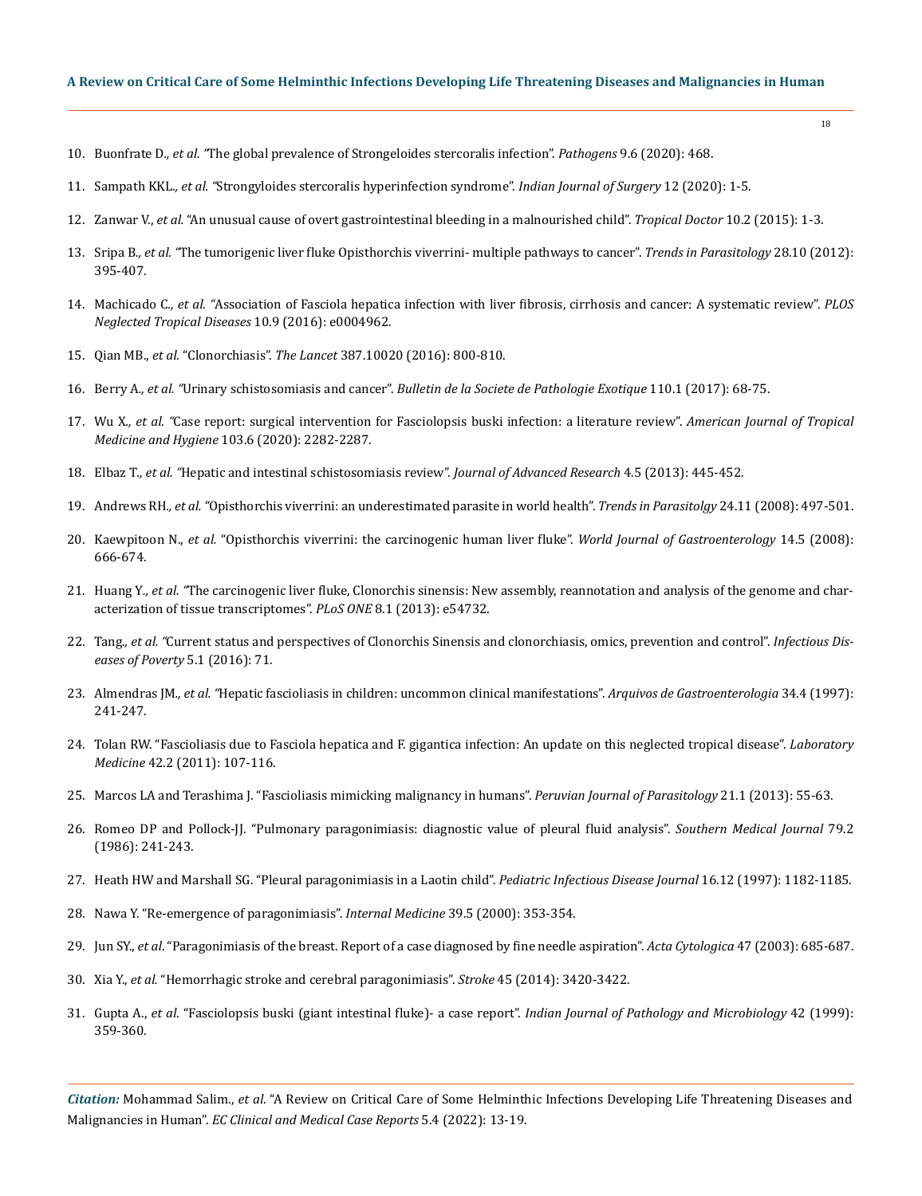- 10. Buonfrate D*., et al. "*[The global prevalence of Strongeloides stercoralis infection".](https://pubmed.ncbi.nlm.nih.gov/32545787/) *Pathogens* 9.6 (2020): 468.
- 11. Sampath KKL*., et al. "*[Strongyloides stercoralis hyperinfection syndrome".](https://pubmed.ncbi.nlm.nih.gov/31263320/) *Indian Journal of Surgery* 12 (2020): 1-5.
- 12. Zanwar V., *et al.* ["An unusual cause of overt gastrointestinal bleeding in a malnourished child".](https://journals.sagepub.com/doi/abs/10.1177/0049475515598667?journalCode=tdoa) *Tropical Doctor* 10.2 (2015): 1-3.
- 13. Sripa B*., et al. "*[The tumorigenic liver fluke Opisthorchis viverrini- multiple pathways to cancer".](https://www.ncbi.nlm.nih.gov/pmc/articles/PMC3682777/) *Trends in Parasitology* 28.10 (2012): [395-407.](https://www.ncbi.nlm.nih.gov/pmc/articles/PMC3682777/)
- 14. Machicado C*., et al. "*[Association of Fasciola hepatica infection with liver fibrosis, cirrhosis and cancer: A systematic review".](https://pubmed.ncbi.nlm.nih.gov/27681524/) *PLOS [Neglected Tropical Diseases](https://pubmed.ncbi.nlm.nih.gov/27681524/)* 10.9 (2016): e0004962.
- 15. Qian MB., *et al.* "Clonorchiasis". *The Lancet* [387.10020 \(2016\): 800-810.](https://pubmed.ncbi.nlm.nih.gov/26299184/)
- 16. Berry A*., et al. "*Urinary schistosomiasis and cancer". *[Bulletin de la Societe de Pathologie Exotique](https://pubmed.ncbi.nlm.nih.gov/28185084/)* 110.1 (2017): 68-75.
- 17. Wu X*., et al. "*[Case report: surgical intervention for Fasciolopsis buski infection: a literature review".](https://www.ncbi.nlm.nih.gov/pmc/articles/PMC7695077/) *American Journal of Tropical [Medicine and Hygiene](https://www.ncbi.nlm.nih.gov/pmc/articles/PMC7695077/)* 103.6 (2020): 2282-2287.
- 18. Elbaz T*., et al. "*[Hepatic and intestinal schistosomiasis review".](https://www.ncbi.nlm.nih.gov/pmc/articles/PMC4293886/) *Journal of Advanced Research* 4.5 (2013): 445-452.
- 19. Andrews RH*., et al. "*[Opisthorchis viverrini: an underestimated parasite in world health".](https://www.ncbi.nlm.nih.gov/pmc/articles/PMC2635548/) *Trends in Parasitolgy* 24.11 (2008): 497-501.
- 20. Kaewpitoon N., *et al.* ["Opisthorchis viverrini: the carcinogenic human liver fluke".](https://www.ncbi.nlm.nih.gov/pmc/articles/PMC2683991/) *World Journal of Gastroenterology* 14.5 (2008): [666-674.](https://www.ncbi.nlm.nih.gov/pmc/articles/PMC2683991/)
- 21. Huang Y*., et al. "*[The carcinogenic liver fluke, Clonorchis sinensis: New assembly, reannotation and analysis of the genome and char](https://pubmed.ncbi.nlm.nih.gov/23382950/)[acterization of tissue transcriptomes".](https://pubmed.ncbi.nlm.nih.gov/23382950/) *PLoS ONE* 8.1 (2013): e54732.
- 22. Tang*., et al. "*[Current status and perspectives of Clonorchis Sinensis and clonorchiasis, omics, prevention and control".](https://pubmed.ncbi.nlm.nih.gov/27384714/) *Infectious Dis[eases of Poverty](https://pubmed.ncbi.nlm.nih.gov/27384714/)* 5.1 (2016): 71.
- 23. Almendras JM*., et al. "*[Hepatic fascioliasis in children: uncommon clinical manifestations".](https://pubmed.ncbi.nlm.nih.gov/9629320/) *Arquivos de Gastroenterologia* 34.4 (1997): [241-247.](https://pubmed.ncbi.nlm.nih.gov/9629320/)
- 24. [Tolan RW. "Fascioliasis due to Fasciola hepatica and F. gigantica infection: An update on this neglected tropical disease".](https://www.researchgate.net/publication/270538643_Fascioliasis_Due_to_Fasciola_hepatica_and_Fasciola_gigantica_Infection_An_Update_on_This_%27Neglected%27_Neglected_Tropical_Disease) *Laboratory Medicine* [42.2 \(2011\): 107-116.](https://www.researchgate.net/publication/270538643_Fascioliasis_Due_to_Fasciola_hepatica_and_Fasciola_gigantica_Infection_An_Update_on_This_%27Neglected%27_Neglected_Tropical_Disease)
- 25. [Marcos LA and Terashima J. "Fascioliasis mimicking malignancy in humans".](https://www.ncbi.nlm.nih.gov/pmc/articles/PMC6533934/) *Peruvian Journal of Parasitology* 21.1 (2013): 55-63.
- 26. [Romeo DP and Pollock-JJ. "Pulmonary paragonimiasis: diagnostic value of pleural fluid analysis".](https://pubmed.ncbi.nlm.nih.gov/3945854/) *Southern Medical Journal* 79.2 [\(1986\): 241-243.](https://pubmed.ncbi.nlm.nih.gov/3945854/)
- 27. [Heath HW and Marshall SG. "Pleural paragonimiasis in a Laotin child".](https://pubmed.ncbi.nlm.nih.gov/9427469/) *Pediatric Infectious Disease Journal* 16.12 (1997): 1182-1185.
- 28. [Nawa Y. "Re-emergence of paragonimiasis".](https://pubmed.ncbi.nlm.nih.gov/10830172/) *Internal Medicine* 39.5 (2000): 353-354.
- 29. Jun SY., *et al*[. "Paragonimiasis of the breast. Report of a case diagnosed by fine needle aspiration".](https://pubmed.ncbi.nlm.nih.gov/12920767/) *Acta Cytologica* 47 (2003): 685-687.
- 30. Xia Y., *et al.* ["Hemorrhagic stroke and cerebral paragonimiasis".](https://www.ahajournals.org/doi/pdf/10.1161/strokeaha.114.007267) *Stroke* 45 (2014): 3420-3422.
- 31. Gupta A., *et al*[. "Fasciolopsis buski \(giant intestinal fluke\)- a case report".](https://pubmed.ncbi.nlm.nih.gov/10862298/) *Indian Journal of Pathology and Microbiology* 42 (1999): [359-360.](https://pubmed.ncbi.nlm.nih.gov/10862298/)

*Citation:* Mohammad Salim., *et al*. "A Review on Critical Care of Some Helminthic Infections Developing Life Threatening Diseases and Malignancies in Human". *EC Clinical and Medical Case Reports* 5.4 (2022): 13-19.